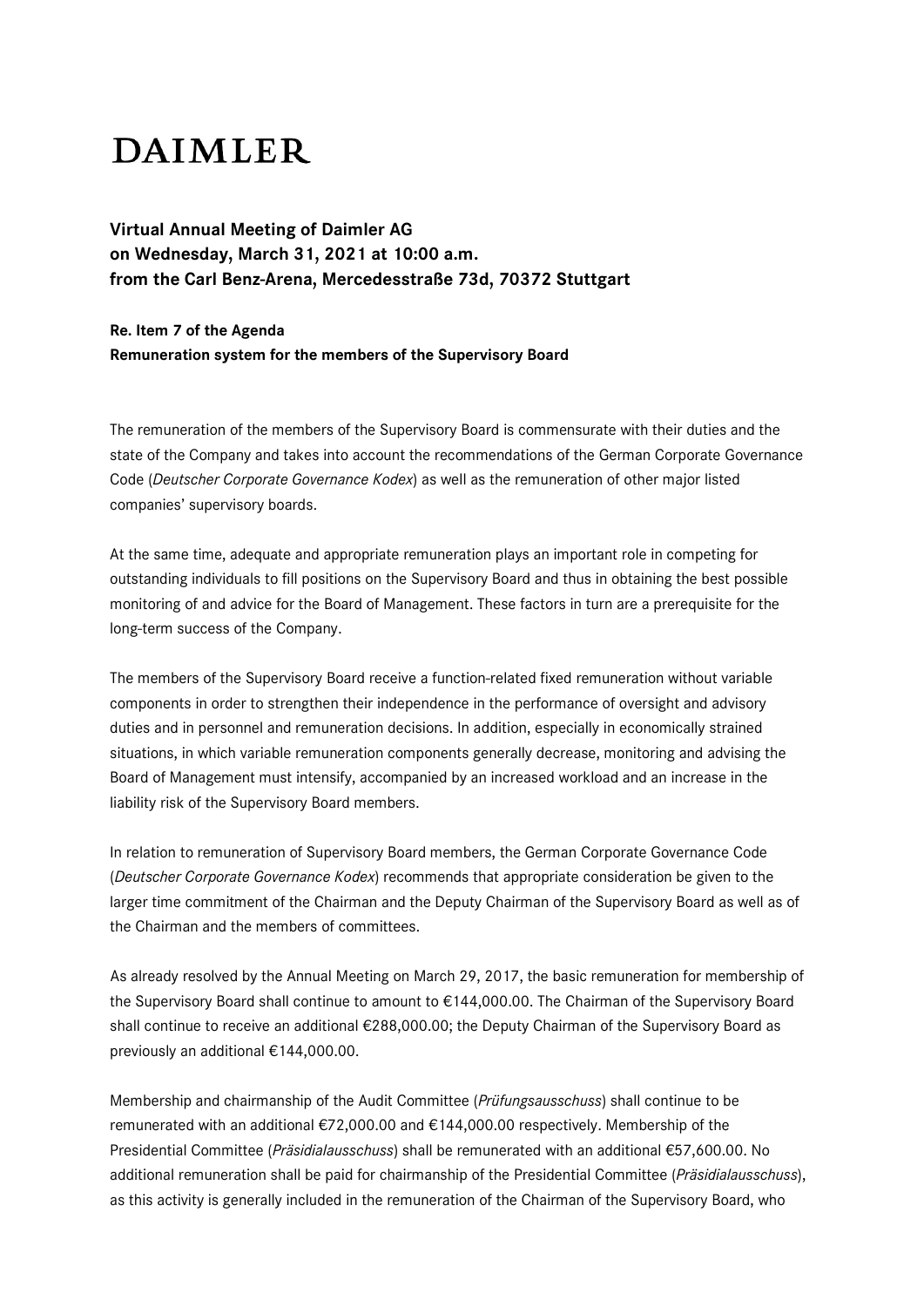## **DAIMLER**

**Virtual Annual Meeting of Daimler AG on Wednesday, March 31, 2021 at 10:00 a.m. from the Carl Benz-Arena, Mercedesstraße 73d, 70372 Stuttgart**

## **Re. Item 7 of the Agenda Remuneration system for the members of the Supervisory Board**

The remuneration of the members of the Supervisory Board is commensurate with their duties and the state of the Company and takes into account the recommendations of the German Corporate Governance Code (*Deutscher Corporate Governance Kodex*) as well as the remuneration of other major listed companies' supervisory boards.

At the same time, adequate and appropriate remuneration plays an important role in competing for outstanding individuals to fill positions on the Supervisory Board and thus in obtaining the best possible monitoring of and advice for the Board of Management. These factors in turn are a prerequisite for the long-term success of the Company.

The members of the Supervisory Board receive a function-related fixed remuneration without variable components in order to strengthen their independence in the performance of oversight and advisory duties and in personnel and remuneration decisions. In addition, especially in economically strained situations, in which variable remuneration components generally decrease, monitoring and advising the Board of Management must intensify, accompanied by an increased workload and an increase in the liability risk of the Supervisory Board members.

In relation to remuneration of Supervisory Board members, the German Corporate Governance Code (*Deutscher Corporate Governance Kodex*) recommends that appropriate consideration be given to the larger time commitment of the Chairman and the Deputy Chairman of the Supervisory Board as well as of the Chairman and the members of committees.

As already resolved by the Annual Meeting on March 29, 2017, the basic remuneration for membership of the Supervisory Board shall continue to amount to €144,000.00. The Chairman of the Supervisory Board shall continue to receive an additional €288,000.00; the Deputy Chairman of the Supervisory Board as previously an additional €144,000.00.

Membership and chairmanship of the Audit Committee (*Prüfungsausschuss*) shall continue to be remunerated with an additional €72,000.00 and €144,000.00 respectively. Membership of the Presidential Committee (*Präsidialausschuss*) shall be remunerated with an additional €57,600.00. No additional remuneration shall be paid for chairmanship of the Presidential Committee (*Präsidialausschuss*), as this activity is generally included in the remuneration of the Chairman of the Supervisory Board, who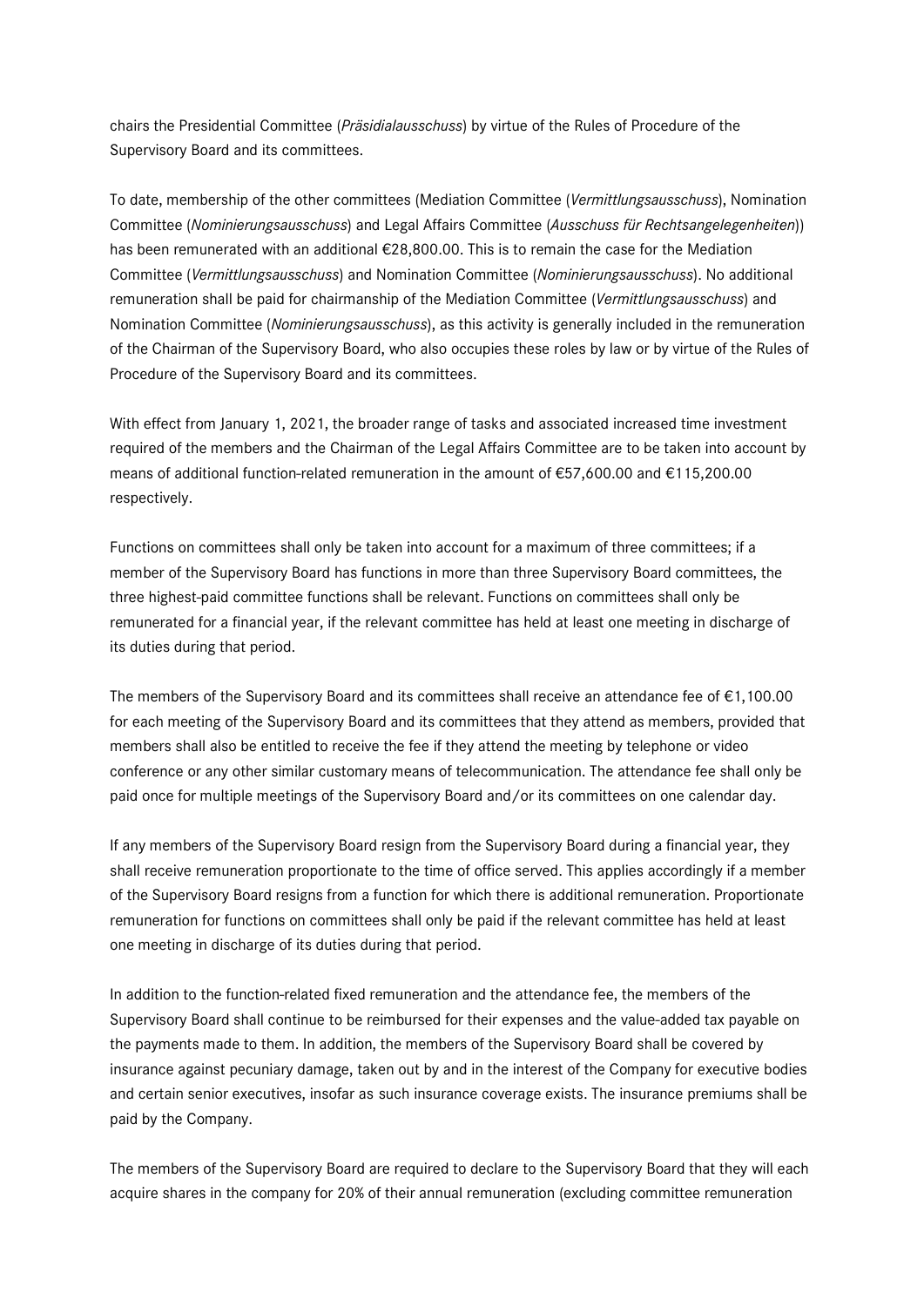chairs the Presidential Committee (*Präsidialausschuss*) by virtue of the Rules of Procedure of the Supervisory Board and its committees.

To date, membership of the other committees (Mediation Committee (*Vermittlungsausschuss*), Nomination Committee (*Nominierungsausschuss*) and Legal Affairs Committee (*Ausschuss für Rechtsangelegenheiten*)) has been remunerated with an additional €28,800.00. This is to remain the case for the Mediation Committee (*Vermittlungsausschuss*) and Nomination Committee (*Nominierungsausschuss*). No additional remuneration shall be paid for chairmanship of the Mediation Committee (*Vermittlungsausschuss*) and Nomination Committee (*Nominierungsausschuss*), as this activity is generally included in the remuneration of the Chairman of the Supervisory Board, who also occupies these roles by law or by virtue of the Rules of Procedure of the Supervisory Board and its committees.

With effect from January 1, 2021, the broader range of tasks and associated increased time investment required of the members and the Chairman of the Legal Affairs Committee are to be taken into account by means of additional function-related remuneration in the amount of €57,600.00 and €115,200.00 respectively.

Functions on committees shall only be taken into account for a maximum of three committees; if a member of the Supervisory Board has functions in more than three Supervisory Board committees, the three highest-paid committee functions shall be relevant. Functions on committees shall only be remunerated for a financial year, if the relevant committee has held at least one meeting in discharge of its duties during that period.

The members of the Supervisory Board and its committees shall receive an attendance fee of  $\epsilon$ 1,100.00 for each meeting of the Supervisory Board and its committees that they attend as members, provided that members shall also be entitled to receive the fee if they attend the meeting by telephone or video conference or any other similar customary means of telecommunication. The attendance fee shall only be paid once for multiple meetings of the Supervisory Board and/or its committees on one calendar day.

If any members of the Supervisory Board resign from the Supervisory Board during a financial year, they shall receive remuneration proportionate to the time of office served. This applies accordingly if a member of the Supervisory Board resigns from a function for which there is additional remuneration. Proportionate remuneration for functions on committees shall only be paid if the relevant committee has held at least one meeting in discharge of its duties during that period.

In addition to the function-related fixed remuneration and the attendance fee, the members of the Supervisory Board shall continue to be reimbursed for their expenses and the value-added tax payable on the payments made to them. In addition, the members of the Supervisory Board shall be covered by insurance against pecuniary damage, taken out by and in the interest of the Company for executive bodies and certain senior executives, insofar as such insurance coverage exists. The insurance premiums shall be paid by the Company.

The members of the Supervisory Board are required to declare to the Supervisory Board that they will each acquire shares in the company for 20% of their annual remuneration (excluding committee remuneration